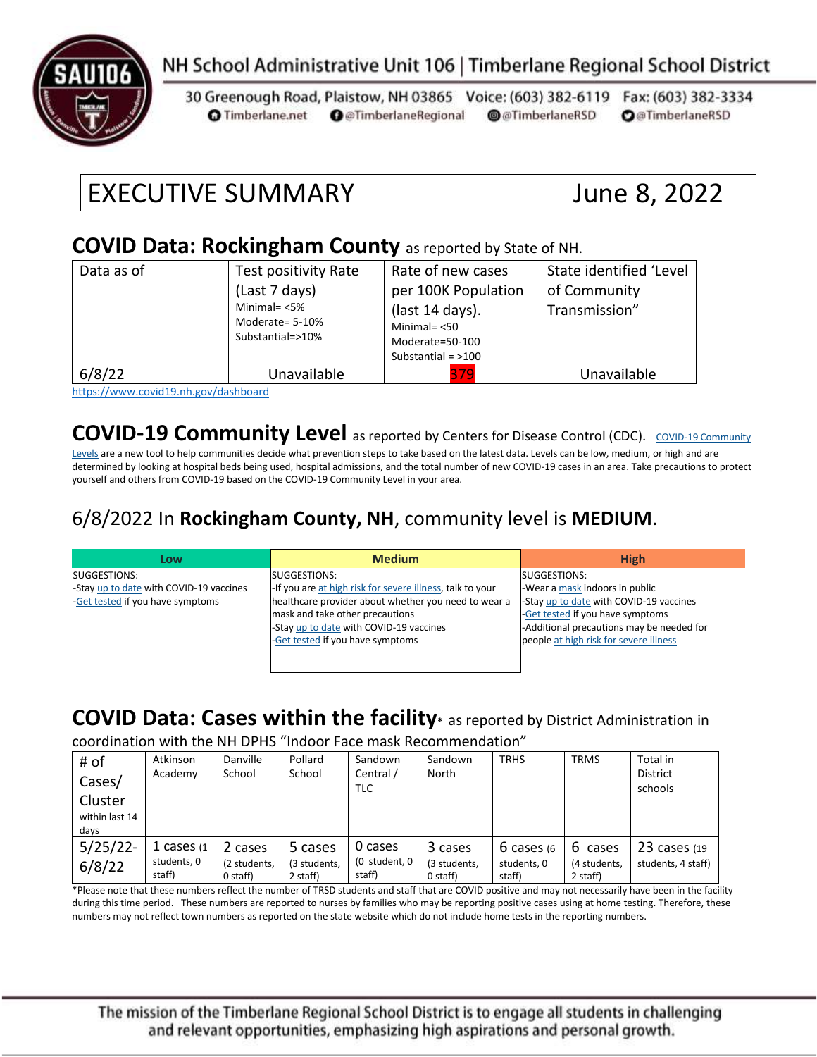

# NH School Administrative Unit 106 | Timberlane Regional School District

30 Greenough Road, Plaistow, NH 03865 Voice: (603) 382-6119 Fax: (603) 382-3334 **O** Timberlane.net **O** @TimberlaneRegional @@TimberlaneRSD **O**@TimberlaneRSD

# EXECUTIVE SUMMARY June 8, 2022

#### **COVID Data: Rockingham County** as reported by State of NH.

| Data as of | Test positivity Rate<br>(Last 7 days)<br>Minimal= $<$ 5%<br>Moderate= 5-10%<br>Substantial=>10% | Rate of new cases<br>per 100K Population<br>(last 14 days).<br>Minimal $=$ <50<br>Moderate=50-100<br>Substantial = $>100$ | State identified 'Level<br>of Community<br>Transmission" |
|------------|-------------------------------------------------------------------------------------------------|---------------------------------------------------------------------------------------------------------------------------|----------------------------------------------------------|
| 6/8/22     | Unavailable                                                                                     | 379                                                                                                                       | Unavailable                                              |

<https://www.covid19.nh.gov/dashboard>

### **[COVID-19 Community](https://www.cdc.gov/coronavirus/2019-ncov/science/community-levels.html) Level** as reported by Centers for Disease Control (CDC). COVID-19 Community

[Levels](https://www.cdc.gov/coronavirus/2019-ncov/science/community-levels.html) are a new tool to help communities decide what prevention steps to take based on the latest data. Levels can be low, medium, or high and are determined by looking at hospital beds being used, hospital admissions, and the total number of new COVID-19 cases in an area. Take precautions to protect yourself and others from COVID-19 based on the COVID-19 Community Level in your area.

#### 6/8/2022 In **Rockingham County, NH**, community level is **MEDIUM**.

| Low                                     | <b>Medium</b>                                             | <b>High</b>                               |
|-----------------------------------------|-----------------------------------------------------------|-------------------------------------------|
| SUGGESTIONS:                            | SUGGESTIONS:                                              | SUGGESTIONS:                              |
| -Stay up to date with COVID-19 vaccines | -If you are at high risk for severe illness, talk to your | -Wear a mask indoors in public            |
| -Get tested if you have symptoms        | healthcare provider about whether you need to wear a      | -Stay up to date with COVID-19 vaccines   |
|                                         | mask and take other precautions                           | -Get tested if you have symptoms          |
|                                         | -Stay up to date with COVID-19 vaccines                   | -Additional precautions may be needed for |
|                                         | -Get tested if you have symptoms                          | people at high risk for severe illness    |
|                                         |                                                           |                                           |
|                                         |                                                           |                                           |

# **COVID Data: Cases within the facility\*** as reported by District Administration in

coordination with the NH DPHS "Indoor Face mask Recommendation"

| # of           | Atkinson      | Danville     | Pollard      | Sandown       | Sandown      | <b>TRHS</b> | <b>TRMS</b>  | Total in           |
|----------------|---------------|--------------|--------------|---------------|--------------|-------------|--------------|--------------------|
| Cases/         | Academy       | School       | School       | Central /     | North        |             |              | <b>District</b>    |
|                |               |              |              | TLC           |              |             |              | schools            |
| Cluster        |               |              |              |               |              |             |              |                    |
| within last 14 |               |              |              |               |              |             |              |                    |
| days           |               |              |              |               |              |             |              |                    |
| $5/25/22$ -    | 1 cases $(1)$ | 2 cases      | 5 cases      | 0 cases       | 3 cases      | 6 cases (6  | 6 cases      | $23$ cases $(19)$  |
| 6/8/22         | students, 0   | (2 students, | (3 students, | (0 student, 0 | (3 students, | students, 0 | (4 students, | students, 4 staff) |
|                | staff)        | $0$ staff)   | 2 staff)     | staff)        | 0 staff)     | staff)      | 2 staff)     |                    |

\*Please note that these numbers reflect the number of TRSD students and staff that are COVID positive and may not necessarily have been in the facility during this time period. These numbers are reported to nurses by families who may be reporting positive cases using at home testing. Therefore, these numbers may not reflect town numbers as reported on the state website which do not include home tests in the reporting numbers.

The mission of the Timberlane Regional School District is to engage all students in challenging and relevant opportunities, emphasizing high aspirations and personal growth.